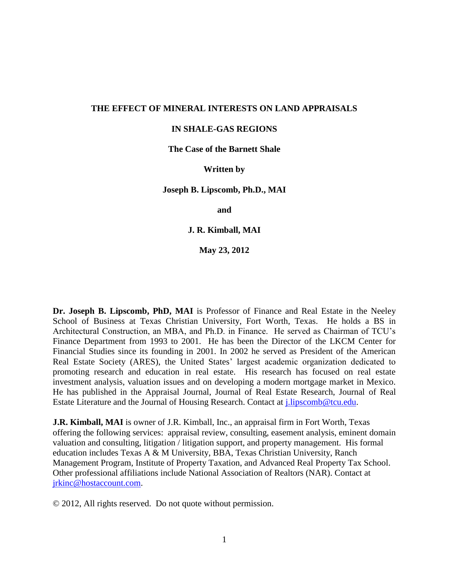#### **THE EFFECT OF MINERAL INTERESTS ON LAND APPRAISALS**

#### **IN SHALE-GAS REGIONS**

**The Case of the Barnett Shale**

#### **Written by**

**Joseph B. Lipscomb, Ph.D., MAI**

**and** 

**J. R. Kimball, MAI**

**May 23, 2012**

**Dr. Joseph B. Lipscomb, PhD, MAI** is Professor of Finance and Real Estate in the Neeley School of Business at Texas Christian University, Fort Worth, Texas. He holds a BS in Architectural Construction, an MBA, and Ph.D. in Finance. He served as Chairman of TCU's Finance Department from 1993 to 2001. He has been the Director of the LKCM Center for Financial Studies since its founding in 2001. In 2002 he served as President of the American Real Estate Society (ARES), the United States' largest academic organization dedicated to promoting research and education in real estate. His research has focused on real estate investment analysis, valuation issues and on developing a modern mortgage market in Mexico. He has published in the Appraisal Journal, Journal of Real Estate Research, Journal of Real Estate Literature and the Journal of Housing Research. Contact at [j.lipscomb@tcu.edu.](mailto:j.lipscomb@tcu.edu)

**J.R. Kimball, MAI** is owner of J.R. Kimball, Inc., an appraisal firm in Fort Worth, Texas offering the following services: appraisal review, consulting, easement analysis, eminent domain valuation and consulting, litigation / litigation support, and property management. His formal education includes Texas A & M University, BBA, Texas Christian University, Ranch Management Program, Institute of Property Taxation, and Advanced Real Property Tax School. Other professional affiliations include National Association of Realtors (NAR). Contact at [jrkinc@hostaccount.com.](mailto:jrkinc@hostaccount.com)

© 2012, All rights reserved. Do not quote without permission.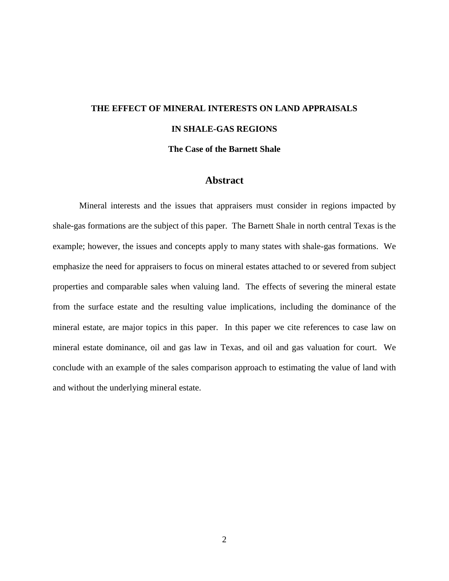# **THE EFFECT OF MINERAL INTERESTS ON LAND APPRAISALS IN SHALE-GAS REGIONS The Case of the Barnett Shale**

#### **Abstract**

Mineral interests and the issues that appraisers must consider in regions impacted by shale-gas formations are the subject of this paper. The Barnett Shale in north central Texas is the example; however, the issues and concepts apply to many states with shale-gas formations. We emphasize the need for appraisers to focus on mineral estates attached to or severed from subject properties and comparable sales when valuing land. The effects of severing the mineral estate from the surface estate and the resulting value implications, including the dominance of the mineral estate, are major topics in this paper. In this paper we cite references to case law on mineral estate dominance, oil and gas law in Texas, and oil and gas valuation for court. We conclude with an example of the sales comparison approach to estimating the value of land with and without the underlying mineral estate.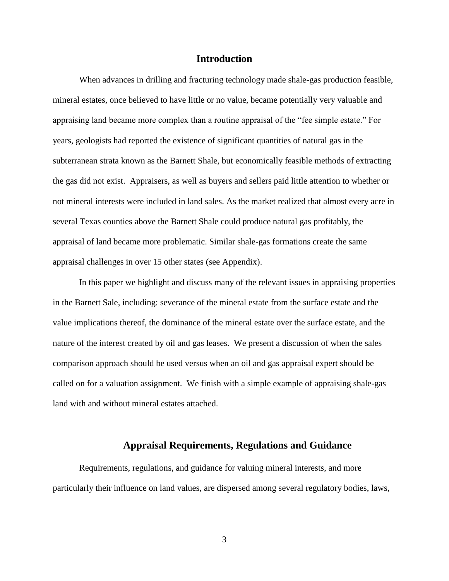## **Introduction**

When advances in drilling and fracturing technology made shale-gas production feasible, mineral estates, once believed to have little or no value, became potentially very valuable and appraising land became more complex than a routine appraisal of the "fee simple estate." For years, geologists had reported the existence of significant quantities of natural gas in the subterranean strata known as the Barnett Shale, but economically feasible methods of extracting the gas did not exist. Appraisers, as well as buyers and sellers paid little attention to whether or not mineral interests were included in land sales. As the market realized that almost every acre in several Texas counties above the Barnett Shale could produce natural gas profitably, the appraisal of land became more problematic. Similar shale-gas formations create the same appraisal challenges in over 15 other states (see Appendix).

In this paper we highlight and discuss many of the relevant issues in appraising properties in the Barnett Sale, including: severance of the mineral estate from the surface estate and the value implications thereof, the dominance of the mineral estate over the surface estate, and the nature of the interest created by oil and gas leases. We present a discussion of when the sales comparison approach should be used versus when an oil and gas appraisal expert should be called on for a valuation assignment. We finish with a simple example of appraising shale-gas land with and without mineral estates attached.

#### **Appraisal Requirements, Regulations and Guidance**

Requirements, regulations, and guidance for valuing mineral interests, and more particularly their influence on land values, are dispersed among several regulatory bodies, laws,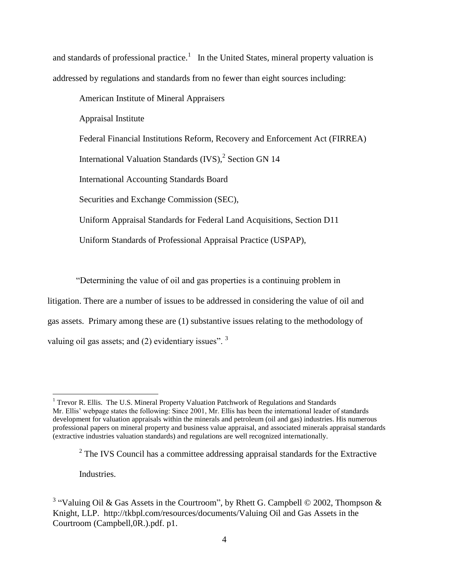and standards of professional practice.<sup>1</sup> In the United States, mineral property valuation is addressed by regulations and standards from no fewer than eight sources including:

American Institute of Mineral Appraisers

Appraisal Institute

Federal Financial Institutions Reform, Recovery and Enforcement Act (FIRREA)

International Valuation Standards  $(IVS)$ ,<sup>2</sup> Section GN 14

International Accounting Standards Board

Securities and Exchange Commission (SEC),

Uniform Appraisal Standards for Federal Land Acquisitions, Section D11

Uniform Standards of Professional Appraisal Practice (USPAP),

"Determining the value of oil and gas properties is a continuing problem in

litigation. There are a number of issues to be addressed in considering the value of oil and gas assets. Primary among these are (1) substantive issues relating to the methodology of valuing oil gas assets; and  $(2)$  evidentiary issues". <sup>3</sup>

Industries.

<sup>&</sup>lt;sup>1</sup> Trevor R. Ellis. The U.S. Mineral Property Valuation Patchwork of Regulations and Standards Mr. Ellis' webpage states the following: Since 2001, Mr. Ellis has been the international leader of standards development for valuation appraisals within the minerals and petroleum (oil and gas) industries. His numerous professional papers on mineral property and business value appraisal, and associated minerals appraisal standards (extractive industries valuation standards) and regulations are well recognized internationally.

 $2^2$  The IVS Council has a committee addressing appraisal standards for the Extractive

<sup>&</sup>lt;sup>3</sup> "Valuing Oil & Gas Assets in the Courtroom", by Rhett G. Campbell © 2002, Thompson & Knight, LLP. <http://tkbpl.com/resources/documents/Valuing> Oil and Gas Assets in the Courtroom (Campbell,0R.).pdf. p1.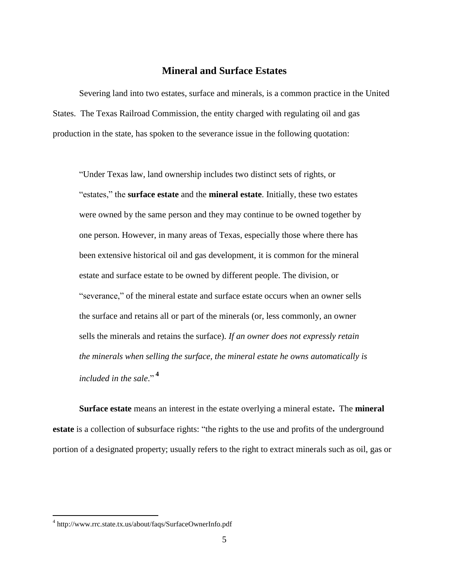# **Mineral and Surface Estates**

Severing land into two estates, surface and minerals, is a common practice in the United States. The Texas Railroad Commission, the entity charged with regulating oil and gas production in the state, has spoken to the severance issue in the following quotation:

"Under Texas law, land ownership includes two distinct sets of rights, or "estates," the **surface estate** and the **mineral estate**. Initially, these two estates were owned by the same person and they may continue to be owned together by one person. However, in many areas of Texas, especially those where there has been extensive historical oil and gas development, it is common for the mineral estate and surface estate to be owned by different people. The division, or "severance," of the mineral estate and surface estate occurs when an owner sells the surface and retains all or part of the minerals (or, less commonly, an owner sells the minerals and retains the surface). *If an owner does not expressly retain the minerals when selling the surface, the mineral estate he owns automatically is included in the sale*." **4**

**Surface estate** means an interest in the estate overlying a mineral estate**.** The **mineral estate** is a collection of **s**ubsurface rights: "the rights to the use and profits of the underground portion of a designated property; usually refers to the right to extract minerals such as oil, gas or

<sup>4</sup> http://www.rrc.state.tx.us/about/faqs/SurfaceOwnerInfo.pdf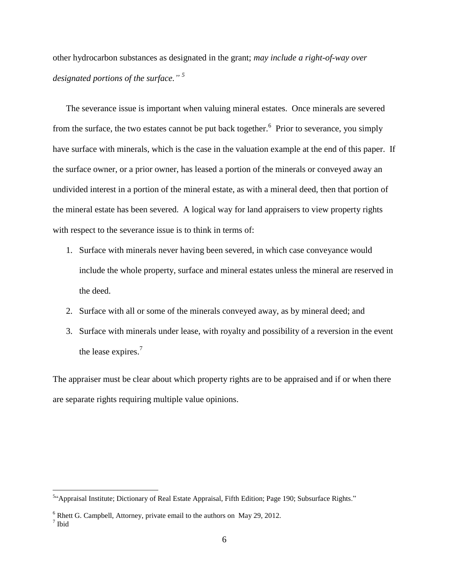other hydrocarbon substances as designated in the grant; *may include a right-of-way over designated portions of the surface." 5*

The severance issue is important when valuing mineral estates. Once minerals are severed from the surface, the two estates cannot be put back together.<sup>6</sup> Prior to severance, you simply have surface with minerals, which is the case in the valuation example at the end of this paper. If the surface owner, or a prior owner, has leased a portion of the minerals or conveyed away an undivided interest in a portion of the mineral estate, as with a mineral deed, then that portion of the mineral estate has been severed. A logical way for land appraisers to view property rights with respect to the severance issue is to think in terms of:

- 1. Surface with minerals never having been severed, in which case conveyance would include the whole property, surface and mineral estates unless the mineral are reserved in the deed.
- 2. Surface with all or some of the minerals conveyed away, as by mineral deed; and
- 3. Surface with minerals under lease, with royalty and possibility of a reversion in the event the lease expires.<sup>7</sup>

The appraiser must be clear about which property rights are to be appraised and if or when there are separate rights requiring multiple value opinions.

<sup>&</sup>lt;sup>5</sup>"Appraisal Institute; Dictionary of Real Estate Appraisal, Fifth Edition; Page 190; Subsurface Rights."

 $6$  Rhett G. Campbell, Attorney, private email to the authors on May 29, 2012.

<sup>7</sup> Ibid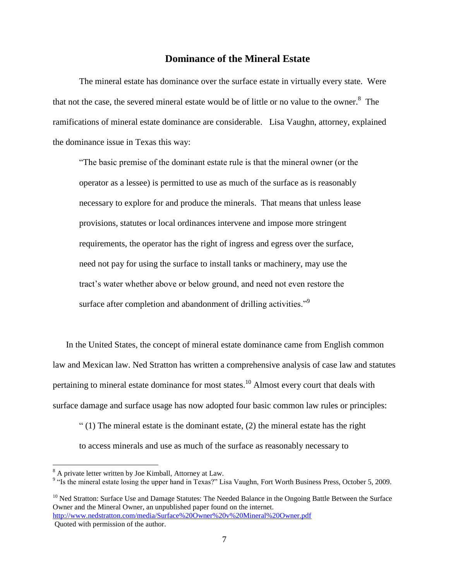# **Dominance of the Mineral Estate**

The mineral estate has dominance over the surface estate in virtually every state. Were that not the case, the severed mineral estate would be of little or no value to the owner.<sup>8</sup> The ramifications of mineral estate dominance are considerable. Lisa Vaughn, attorney, explained the dominance issue in Texas this way:

"The basic premise of the dominant estate rule is that the mineral owner (or the operator as a lessee) is permitted to use as much of the surface as is reasonably necessary to explore for and produce the minerals. That means that unless lease provisions, statutes or local ordinances intervene and impose more stringent requirements, the operator has the right of ingress and egress over the surface, need not pay for using the surface to install tanks or machinery, may use the tract's water whether above or below ground, and need not even restore the surface after completion and abandonment of drilling activities."<sup>9</sup>

In the United States, the concept of mineral estate dominance came from English common law and Mexican law. Ned Stratton has written a comprehensive analysis of case law and statutes pertaining to mineral estate dominance for most states.<sup>10</sup> Almost every court that deals with surface damage and surface usage has now adopted four basic common law rules or principles:

 $(1)$  The mineral estate is the dominant estate, (2) the mineral estate has the right to access minerals and use as much of the surface as reasonably necessary to

<sup>10</sup> Ned Stratton: Surface Use and Damage Statutes: The Needed Balance in the Ongoing Battle Between the Surface Owner and the Mineral Owner, an unpublished paper found on the internet. <http://www.nedstratton.com/media/Surface%20Owner%20v%20Mineral%20Owner.pdf>

 $8<sup>8</sup>$  A private letter written by Joe Kimball, Attorney at Law.

<sup>&</sup>lt;sup>9</sup> "Is the mineral estate losing the upper hand in Texas?" Lisa Vaughn, Fort Worth Business Press, October 5, 2009.

Quoted with permission of the author.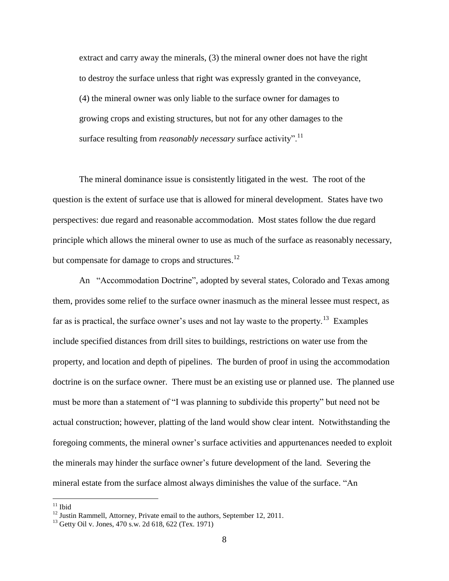extract and carry away the minerals, (3) the mineral owner does not have the right to destroy the surface unless that right was expressly granted in the conveyance, (4) the mineral owner was only liable to the surface owner for damages to growing crops and existing structures, but not for any other damages to the surface resulting from *reasonably necessary* surface activity".<sup>11</sup>

The mineral dominance issue is consistently litigated in the west. The root of the question is the extent of surface use that is allowed for mineral development. States have two perspectives: due regard and reasonable accommodation. Most states follow the due regard principle which allows the mineral owner to use as much of the surface as reasonably necessary, but compensate for damage to crops and structures.<sup>12</sup>

An "Accommodation Doctrine", adopted by several states, Colorado and Texas among them, provides some relief to the surface owner inasmuch as the mineral lessee must respect, as far as is practical, the surface owner's uses and not lay waste to the property.<sup>13</sup> Examples include specified distances from drill sites to buildings, restrictions on water use from the property, and location and depth of pipelines. The burden of proof in using the accommodation doctrine is on the surface owner. There must be an existing use or planned use. The planned use must be more than a statement of "I was planning to subdivide this property" but need not be actual construction; however, platting of the land would show clear intent. Notwithstanding the foregoing comments, the mineral owner's surface activities and appurtenances needed to exploit the minerals may hinder the surface owner's future development of the land. Severing the mineral estate from the surface almost always diminishes the value of the surface. "An

 $11$  Ibid

 $12$  Justin Rammell, Attorney, Private email to the authors, September 12, 2011.

 $13$  Getty Oil v. Jones, 470 s.w. 2d 618, 622 (Tex. 1971)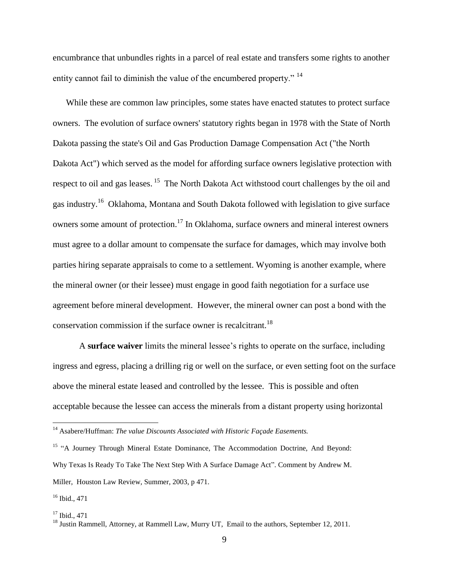encumbrance that unbundles rights in a parcel of real estate and transfers some rights to another entity cannot fail to diminish the value of the encumbered property."<sup>14</sup>

While these are common law principles, some states have enacted statutes to protect surface owners. The evolution of surface owners' statutory rights began in 1978 with the State of North Dakota passing the state's Oil and Gas Production Damage Compensation Act ("the North Dakota Act") which served as the model for affording surface owners legislative protection with respect to oil and gas leases.<sup>15</sup> The North Dakota Act withstood court challenges by the oil and gas industry.<sup>16</sup> Oklahoma, Montana and South Dakota followed with legislation to give surface owners some amount of protection.<sup>17</sup> In Oklahoma, surface owners and mineral interest owners must agree to a dollar amount to compensate the surface for damages, which may involve both parties hiring separate appraisals to come to a settlement. Wyoming is another example, where the mineral owner (or their lessee) must engage in good faith negotiation for a surface use agreement before mineral development. However, the mineral owner can post a bond with the conservation commission if the surface owner is recalcitrant.<sup>18</sup>

A **surface waiver** limits the mineral lessee's rights to operate on the surface, including ingress and egress, placing a drilling rig or well on the surface, or even setting foot on the surface above the mineral estate leased and controlled by the lessee. This is possible and often acceptable because the lessee can access the minerals from a distant property using horizontal

<sup>&</sup>lt;sup>14</sup> Asabere/Huffman: *The value Discounts Associated with Historic Façade Easements.* 

<sup>&</sup>lt;sup>15</sup> "A Journey Through Mineral Estate Dominance, The Accommodation Doctrine, And Beyond: Why Texas Is Ready To Take The Next Step With A Surface Damage Act". Comment by Andrew M. Miller, Houston Law Review, Summer, 2003, p 471.

<sup>16</sup> Ibid., 471

 $17$  Ibid., 471

<sup>&</sup>lt;sup>18</sup> Justin Rammell, Attorney, at Rammell Law, Murry UT, Email to the authors, September 12, 2011.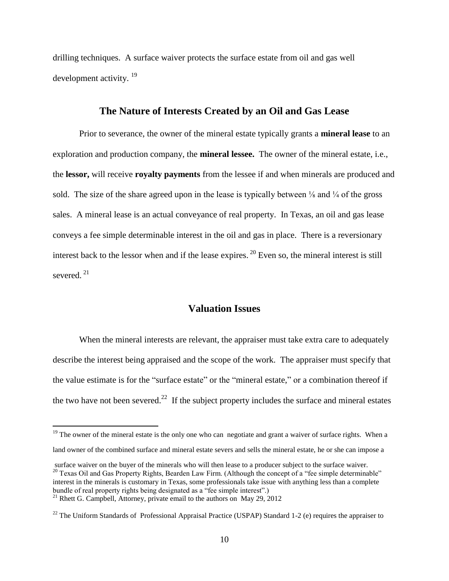drilling techniques. A surface waiver protects the surface estate from oil and gas well development activity.<sup>19</sup>

# **The Nature of Interests Created by an Oil and Gas Lease**

Prior to severance, the owner of the mineral estate typically grants a **mineral lease** to an exploration and production company, the **mineral lessee.** The owner of the mineral estate, i.e., the **lessor,** will receive **royalty payments** from the lessee if and when minerals are produced and sold. The size of the share agreed upon in the lease is typically between  $\frac{1}{8}$  and  $\frac{1}{4}$  of the gross sales. A mineral lease is an actual conveyance of real property. In Texas, an oil and gas lease conveys a fee simple determinable interest in the oil and gas in place. There is a reversionary interest back to the lessor when and if the lease expires.  $^{20}$  Even so, the mineral interest is still severed.<sup>21</sup>

# **Valuation Issues**

When the mineral interests are relevant, the appraiser must take extra care to adequately describe the interest being appraised and the scope of the work. The appraiser must specify that the value estimate is for the "surface estate" or the "mineral estate," or a combination thereof if the two have not been severed.<sup>22</sup> If the subject property includes the surface and mineral estates

<sup>&</sup>lt;sup>19</sup> The owner of the mineral estate is the only one who can negotiate and grant a waiver of surface rights. When a

land owner of the combined surface and mineral estate severs and sells the mineral estate, he or she can impose a

surface waiver on the buyer of the minerals who will then lease to a producer subject to the surface waiver. <sup>20</sup> Texas Oil and Gas Property Rights, Bearden Law Firm. (Although the concept of a "fee simple determinable" interest in the minerals is customary in Texas, some professionals take issue with anything less than a complete bundle of real property rights being designated as a "fee simple interest".)

<sup>&</sup>lt;sup>21</sup> Rhett G. Campbell, Attorney, private email to the authors on May 29, 2012

<sup>&</sup>lt;sup>22</sup> The Uniform Standards of Professional Appraisal Practice (USPAP) Standard 1-2 (e) requires the appraiser to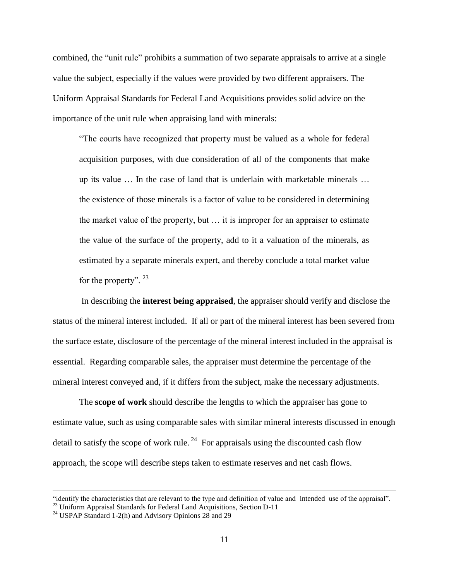combined, the "unit rule" prohibits a summation of two separate appraisals to arrive at a single value the subject, especially if the values were provided by two different appraisers. The Uniform Appraisal Standards for Federal Land Acquisitions provides solid advice on the importance of the unit rule when appraising land with minerals:

"The courts have recognized that property must be valued as a whole for federal acquisition purposes, with due consideration of all of the components that make up its value … In the case of land that is underlain with marketable minerals … the existence of those minerals is a factor of value to be considered in determining the market value of the property, but … it is improper for an appraiser to estimate the value of the surface of the property, add to it a valuation of the minerals, as estimated by a separate minerals expert, and thereby conclude a total market value for the property".  $23$ 

In describing the **interest being appraised**, the appraiser should verify and disclose the status of the mineral interest included. If all or part of the mineral interest has been severed from the surface estate, disclosure of the percentage of the mineral interest included in the appraisal is essential. Regarding comparable sales, the appraiser must determine the percentage of the mineral interest conveyed and, if it differs from the subject, make the necessary adjustments.

The **scope of work** should describe the lengths to which the appraiser has gone to estimate value, such as using comparable sales with similar mineral interests discussed in enough detail to satisfy the scope of work rule.<sup>24</sup> For appraisals using the discounted cash flow approach, the scope will describe steps taken to estimate reserves and net cash flows.

<sup>&</sup>quot;identify the characteristics that are relevant to the type and definition of value and intended use of the appraisal".

 $^{23}$  Uniform Appraisal Standards for Federal Land Acquisitions, Section D-11

<sup>&</sup>lt;sup>24</sup> USPAP Standard 1-2(h) and Advisory Opinions  $28$  and  $29$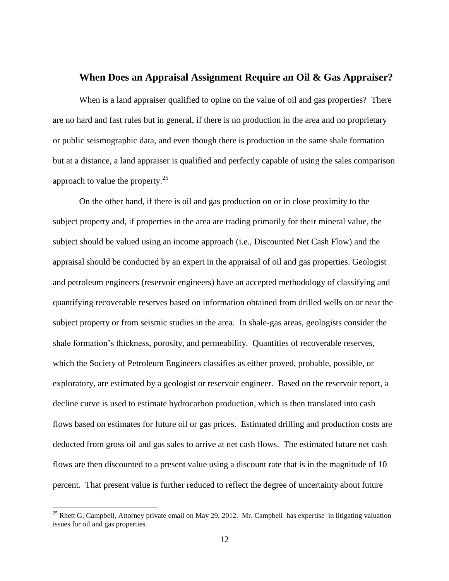# **When Does an Appraisal Assignment Require an Oil & Gas Appraiser?**

When is a land appraiser qualified to opine on the value of oil and gas properties? There are no hard and fast rules but in general, if there is no production in the area and no proprietary or public seismographic data, and even though there is production in the same shale formation but at a distance, a land appraiser is qualified and perfectly capable of using the sales comparison approach to value the property. $25$ 

On the other hand, if there is oil and gas production on or in close proximity to the subject property and, if properties in the area are trading primarily for their mineral value, the subject should be valued using an income approach (i.e., Discounted Net Cash Flow) and the appraisal should be conducted by an expert in the appraisal of oil and gas properties. Geologist and petroleum engineers (reservoir engineers) have an accepted methodology of classifying and quantifying recoverable reserves based on information obtained from drilled wells on or near the subject property or from seismic studies in the area. In shale-gas areas, geologists consider the shale formation's thickness, porosity, and permeability. Quantities of recoverable reserves, which the Society of Petroleum Engineers classifies as either proved, probable, possible, or exploratory, are estimated by a geologist or reservoir engineer. Based on the reservoir report, a decline curve is used to estimate hydrocarbon production, which is then translated into cash flows based on estimates for future oil or gas prices. Estimated drilling and production costs are deducted from gross oil and gas sales to arrive at net cash flows. The estimated future net cash flows are then discounted to a present value using a discount rate that is in the magnitude of 10 percent. That present value is further reduced to reflect the degree of uncertainty about future

<sup>&</sup>lt;sup>25</sup> Rhett G. Campbell, Attorney private email on May 29, 2012. Mr. Campbell has expertise in litigating valuation issues for oil and gas properties.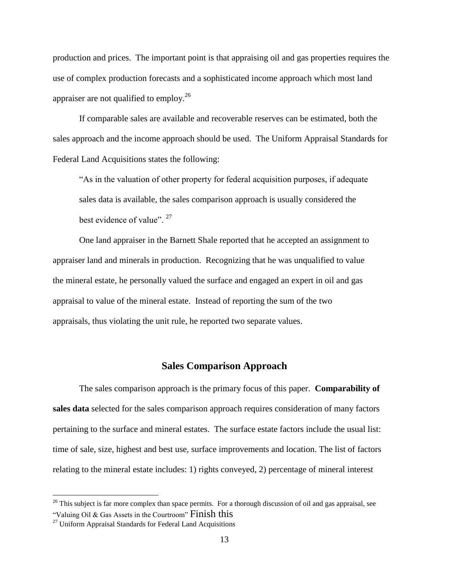production and prices. The important point is that appraising oil and gas properties requires the use of complex production forecasts and a sophisticated income approach which most land appraiser are not qualified to employ.<sup>26</sup>

If comparable sales are available and recoverable reserves can be estimated, both the sales approach and the income approach should be used. The Uniform Appraisal Standards for Federal Land Acquisitions states the following:

"As in the valuation of other property for federal acquisition purposes, if adequate sales data is available, the sales comparison approach is usually considered the best evidence of value".  $27$ 

One land appraiser in the Barnett Shale reported that he accepted an assignment to appraiser land and minerals in production. Recognizing that he was unqualified to value the mineral estate, he personally valued the surface and engaged an expert in oil and gas appraisal to value of the mineral estate. Instead of reporting the sum of the two appraisals, thus violating the unit rule, he reported two separate values.

# **Sales Comparison Approach**

The sales comparison approach is the primary focus of this paper. **Comparability of sales data** selected for the sales comparison approach requires consideration of many factors pertaining to the surface and mineral estates. The surface estate factors include the usual list: time of sale, size, highest and best use, surface improvements and location. The list of factors relating to the mineral estate includes: 1) rights conveyed, 2) percentage of mineral interest

<sup>&</sup>lt;sup>26</sup> This subject is far more complex than space permits. For a thorough discussion of oil and gas appraisal, see "Valuing Oil & Gas Assets in the Courtroom" Finish this

 $27$  Uniform Appraisal Standards for Federal Land Acquisitions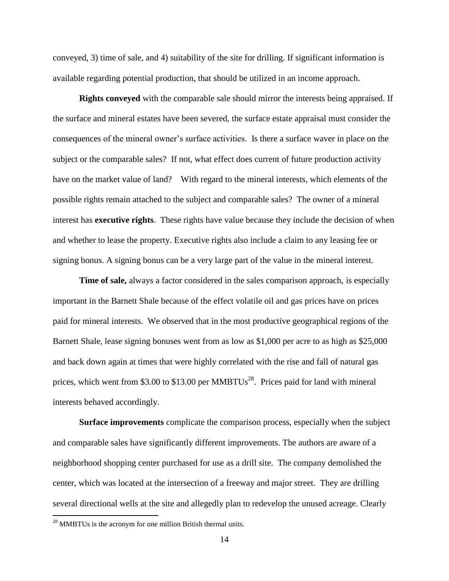conveyed, 3) time of sale, and 4) suitability of the site for drilling. If significant information is available regarding potential production, that should be utilized in an income approach.

**Rights conveyed** with the comparable sale should mirror the interests being appraised. If the surface and mineral estates have been severed, the surface estate appraisal must consider the consequences of the mineral owner's surface activities. Is there a surface waver in place on the subject or the comparable sales? If not, what effect does current of future production activity have on the market value of land? With regard to the mineral interests, which elements of the possible rights remain attached to the subject and comparable sales? The owner of a mineral interest has **executive rights**. These rights have value because they include the decision of when and whether to lease the property. Executive rights also include a claim to any leasing fee or signing bonus. A signing bonus can be a very large part of the value in the mineral interest.

**Time of sale,** always a factor considered in the sales comparison approach, is especially important in the Barnett Shale because of the effect volatile oil and gas prices have on prices paid for mineral interests. We observed that in the most productive geographical regions of the Barnett Shale, lease signing bonuses went from as low as \$1,000 per acre to as high as \$25,000 and back down again at times that were highly correlated with the rise and fall of natural gas prices, which went from \$3.00 to \$13.00 per  $MMB TUs^{28}$ . Prices paid for land with mineral interests behaved accordingly.

**Surface improvements** complicate the comparison process, especially when the subject and comparable sales have significantly different improvements. The authors are aware of a neighborhood shopping center purchased for use as a drill site. The company demolished the center, which was located at the intersection of a freeway and major street. They are drilling several directional wells at the site and allegedly plan to redevelop the unused acreage. Clearly

 $28$  MMBTUs is the acronym for one million British thermal units.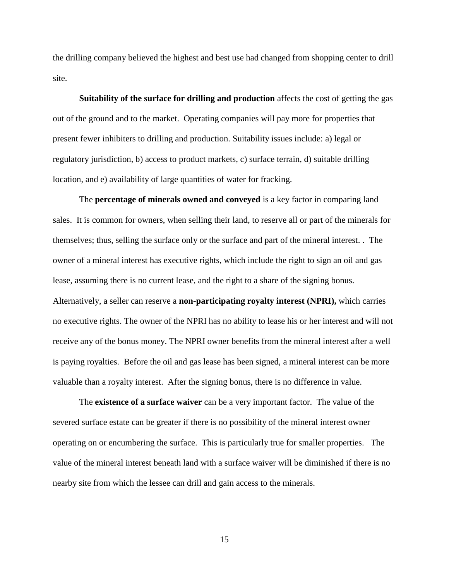the drilling company believed the highest and best use had changed from shopping center to drill site.

**Suitability of the surface for drilling and production** affects the cost of getting the gas out of the ground and to the market. Operating companies will pay more for properties that present fewer inhibiters to drilling and production. Suitability issues include: a) legal or regulatory jurisdiction, b) access to product markets, c) surface terrain, d) suitable drilling location, and e) availability of large quantities of water for fracking.

The **percentage of minerals owned and conveyed** is a key factor in comparing land sales. It is common for owners, when selling their land, to reserve all or part of the minerals for themselves; thus, selling the surface only or the surface and part of the mineral interest. . The owner of a mineral interest has executive rights, which include the right to sign an oil and gas lease, assuming there is no current lease, and the right to a share of the signing bonus. Alternatively, a seller can reserve a **non-participating royalty interest (NPRI),** which carries no executive rights. The owner of the NPRI has no ability to lease his or her interest and will not receive any of the bonus money. The NPRI owner benefits from the mineral interest after a well is paying royalties. Before the oil and gas lease has been signed, a mineral interest can be more valuable than a royalty interest. After the signing bonus, there is no difference in value.

The **existence of a surface waiver** can be a very important factor. The value of the severed surface estate can be greater if there is no possibility of the mineral interest owner operating on or encumbering the surface. This is particularly true for smaller properties. The value of the mineral interest beneath land with a surface waiver will be diminished if there is no nearby site from which the lessee can drill and gain access to the minerals.

15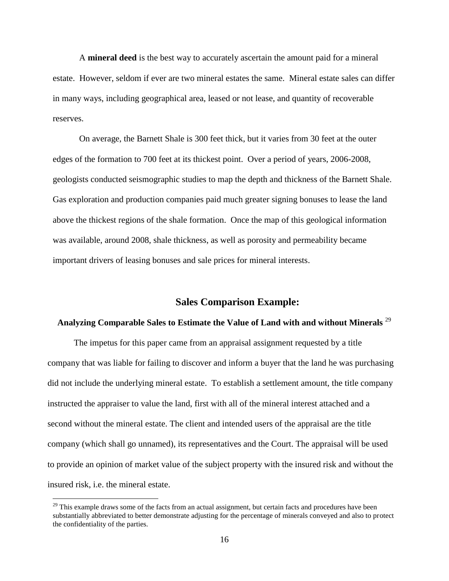A **mineral deed** is the best way to accurately ascertain the amount paid for a mineral estate. However, seldom if ever are two mineral estates the same. Mineral estate sales can differ in many ways, including geographical area, leased or not lease, and quantity of recoverable reserves.

On average, the Barnett Shale is 300 feet thick, but it varies from 30 feet at the outer edges of the formation to 700 feet at its thickest point. Over a period of years, 2006-2008, geologists conducted seismographic studies to map the depth and thickness of the Barnett Shale. Gas exploration and production companies paid much greater signing bonuses to lease the land above the thickest regions of the shale formation. Once the map of this geological information was available, around 2008, shale thickness, as well as porosity and permeability became important drivers of leasing bonuses and sale prices for mineral interests.

#### **Sales Comparison Example:**

# **Analyzing Comparable Sales to Estimate the Value of Land with and without Minerals** <sup>29</sup>

The impetus for this paper came from an appraisal assignment requested by a title company that was liable for failing to discover and inform a buyer that the land he was purchasing did not include the underlying mineral estate. To establish a settlement amount, the title company instructed the appraiser to value the land, first with all of the mineral interest attached and a second without the mineral estate. The client and intended users of the appraisal are the title company (which shall go unnamed), its representatives and the Court. The appraisal will be used to provide an opinion of market value of the subject property with the insured risk and without the insured risk, i.e. the mineral estate.

<sup>&</sup>lt;sup>29</sup> This example draws some of the facts from an actual assignment, but certain facts and procedures have been substantially abbreviated to better demonstrate adjusting for the percentage of minerals conveyed and also to protect the confidentiality of the parties.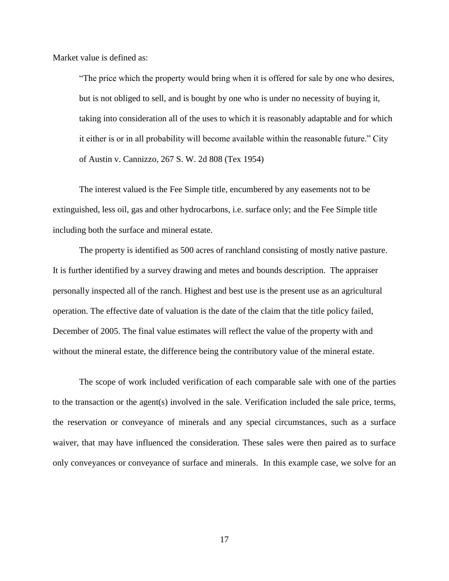Market value is defined as:

"The price which the property would bring when it is offered for sale by one who desires, but is not obliged to sell, and is bought by one who is under no necessity of buying it, taking into consideration all of the uses to which it is reasonably adaptable and for which it either is or in all probability will become available within the reasonable future." City of Austin v. Cannizzo, 267 S. W. 2d 808 (Tex 1954)

The interest valued is the Fee Simple title, encumbered by any easements not to be extinguished, less oil, gas and other hydrocarbons, i.e. surface only; and the Fee Simple title including both the surface and mineral estate.

The property is identified as 500 acres of ranchland consisting of mostly native pasture. It is further identified by a survey drawing and metes and bounds description. The appraiser personally inspected all of the ranch. Highest and best use is the present use as an agricultural operation. The effective date of valuation is the date of the claim that the title policy failed, December of 2005. The final value estimates will reflect the value of the property with and without the mineral estate, the difference being the contributory value of the mineral estate.

The scope of work included verification of each comparable sale with one of the parties to the transaction or the agent(s) involved in the sale. Verification included the sale price, terms, the reservation or conveyance of minerals and any special circumstances, such as a surface waiver, that may have influenced the consideration. These sales were then paired as to surface only conveyances or conveyance of surface and minerals. In this example case, we solve for an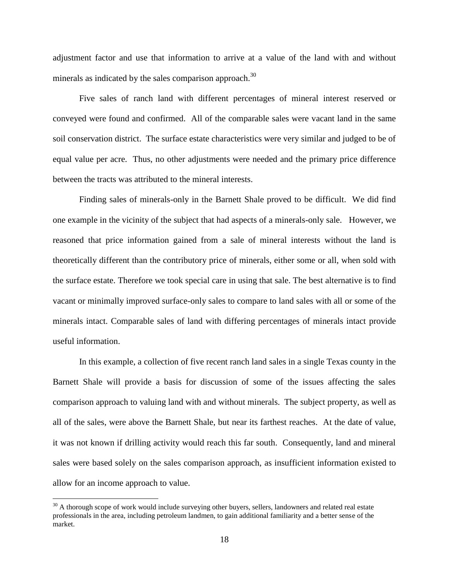adjustment factor and use that information to arrive at a value of the land with and without minerals as indicated by the sales comparison approach.<sup>30</sup>

Five sales of ranch land with different percentages of mineral interest reserved or conveyed were found and confirmed. All of the comparable sales were vacant land in the same soil conservation district. The surface estate characteristics were very similar and judged to be of equal value per acre. Thus, no other adjustments were needed and the primary price difference between the tracts was attributed to the mineral interests.

Finding sales of minerals-only in the Barnett Shale proved to be difficult. We did find one example in the vicinity of the subject that had aspects of a minerals-only sale. However, we reasoned that price information gained from a sale of mineral interests without the land is theoretically different than the contributory price of minerals, either some or all, when sold with the surface estate. Therefore we took special care in using that sale. The best alternative is to find vacant or minimally improved surface-only sales to compare to land sales with all or some of the minerals intact. Comparable sales of land with differing percentages of minerals intact provide useful information.

In this example, a collection of five recent ranch land sales in a single Texas county in the Barnett Shale will provide a basis for discussion of some of the issues affecting the sales comparison approach to valuing land with and without minerals. The subject property, as well as all of the sales, were above the Barnett Shale, but near its farthest reaches. At the date of value, it was not known if drilling activity would reach this far south. Consequently, land and mineral sales were based solely on the sales comparison approach, as insufficient information existed to allow for an income approach to value.

 $30$  A thorough scope of work would include surveying other buyers, sellers, landowners and related real estate professionals in the area, including petroleum landmen, to gain additional familiarity and a better sense of the market.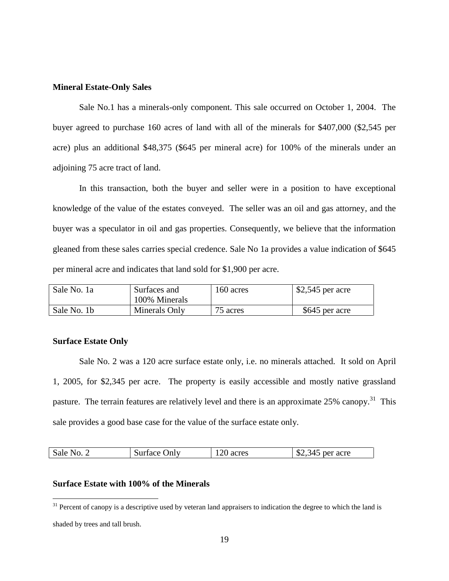#### **Mineral Estate-Only Sales**

Sale No.1 has a minerals-only component. This sale occurred on October 1, 2004. The buyer agreed to purchase 160 acres of land with all of the minerals for \$407,000 (\$2,545 per acre) plus an additional \$48,375 (\$645 per mineral acre) for 100% of the minerals under an adjoining 75 acre tract of land.

In this transaction, both the buyer and seller were in a position to have exceptional knowledge of the value of the estates conveyed. The seller was an oil and gas attorney, and the buyer was a speculator in oil and gas properties. Consequently, we believe that the information gleaned from these sales carries special credence. Sale No 1a provides a value indication of \$645 per mineral acre and indicates that land sold for \$1,900 per acre.

| Sale No. 1a | Surfaces and<br>100% Minerals | 160 acres | $$2,545$ per acre |
|-------------|-------------------------------|-----------|-------------------|
| Sale No. 1b | Minerals Only                 | 75 acres  | \$645 per acre    |

#### **Surface Estate Only**

Sale No. 2 was a 120 acre surface estate only, i.e. no minerals attached. It sold on April 1, 2005, for \$2,345 per acre. The property is easily accessible and mostly native grassland pasture. The terrain features are relatively level and there is an approximate  $25\%$  canopy.<sup>31</sup> This sale provides a good base case for the value of the surface estate only.

| $\cap$<br>– ጦ<br>Sale l<br>$N_{0.2}$<br>per acre<br>acres<br>Surface Only<br>ر 14<br>ر ∡ى<br>$1\angle U$ |  |
|----------------------------------------------------------------------------------------------------------|--|
|----------------------------------------------------------------------------------------------------------|--|

#### **Surface Estate with 100% of the Minerals**

shaded by trees and tall brush.

 $31$  Percent of canopy is a descriptive used by veteran land appraisers to indication the degree to which the land is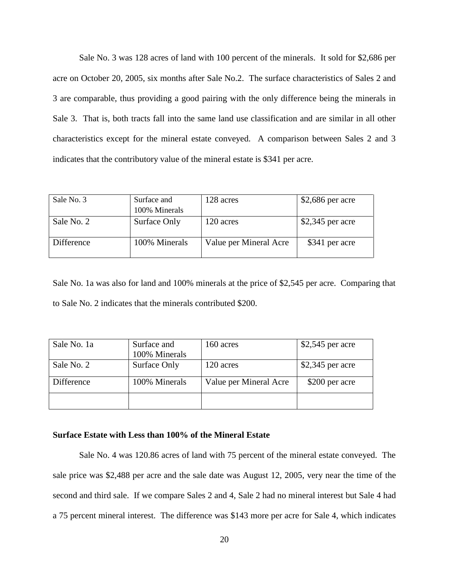Sale No. 3 was 128 acres of land with 100 percent of the minerals. It sold for \$2,686 per acre on October 20, 2005, six months after Sale No.2. The surface characteristics of Sales 2 and 3 are comparable, thus providing a good pairing with the only difference being the minerals in Sale 3. That is, both tracts fall into the same land use classification and are similar in all other characteristics except for the mineral estate conveyed. A comparison between Sales 2 and 3 indicates that the contributory value of the mineral estate is \$341 per acre.

| Sale No. 3 | Surface and   | 128 acres              | $$2,686$ per acre |  |  |
|------------|---------------|------------------------|-------------------|--|--|
|            | 100% Minerals |                        |                   |  |  |
| Sale No. 2 | Surface Only  | 120 acres              | $$2,345$ per acre |  |  |
| Difference | 100% Minerals | Value per Mineral Acre | \$341 per acre    |  |  |
|            |               |                        |                   |  |  |

Sale No. 1a was also for land and 100% minerals at the price of \$2,545 per acre. Comparing that to Sale No. 2 indicates that the minerals contributed \$200.

| Sale No. 1a | Surface and   | 160 acres              | $$2,545$ per acre |  |  |
|-------------|---------------|------------------------|-------------------|--|--|
|             | 100% Minerals |                        |                   |  |  |
| Sale No. 2  | Surface Only  | 120 acres              | $$2,345$ per acre |  |  |
|             |               |                        |                   |  |  |
| Difference  | 100% Minerals | Value per Mineral Acre | \$200 per acre    |  |  |
|             |               |                        |                   |  |  |
|             |               |                        |                   |  |  |
|             |               |                        |                   |  |  |

#### **Surface Estate with Less than 100% of the Mineral Estate**

Sale No. 4 was 120.86 acres of land with 75 percent of the mineral estate conveyed. The sale price was \$2,488 per acre and the sale date was August 12, 2005, very near the time of the second and third sale. If we compare Sales 2 and 4, Sale 2 had no mineral interest but Sale 4 had a 75 percent mineral interest. The difference was \$143 more per acre for Sale 4, which indicates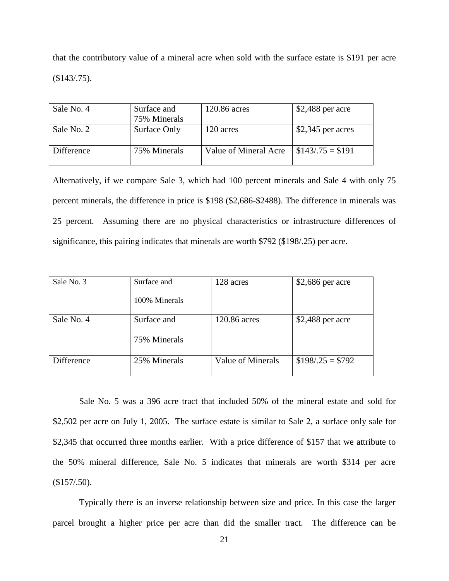that the contributory value of a mineral acre when sold with the surface estate is \$191 per acre (\$143/.75).

| Sale No. 4 | Surface and  | 120.86 acres          | $$2,488$ per acre           |  |  |
|------------|--------------|-----------------------|-----------------------------|--|--|
|            | 75% Minerals |                       |                             |  |  |
| Sale No. 2 | Surface Only | 120 acres             | $$2,345$ per acres          |  |  |
| Difference | 75% Minerals | Value of Mineral Acre | $\frac{\$143}{.75} = \$191$ |  |  |

Alternatively, if we compare Sale 3, which had 100 percent minerals and Sale 4 with only 75 percent minerals, the difference in price is \$198 (\$2,686-\$2488). The difference in minerals was 25 percent. Assuming there are no physical characteristics or infrastructure differences of significance, this pairing indicates that minerals are worth \$792 (\$198/.25) per acre.

| Sale No. 3 | Surface and<br>100% Minerals | 128 acres         | $$2,686$ per acre |
|------------|------------------------------|-------------------|-------------------|
|            |                              |                   |                   |
| Sale No. 4 | Surface and                  | 120.86 acres      | $$2,488$ per acre |
|            | 75% Minerals                 |                   |                   |
| Difference | 25% Minerals                 | Value of Minerals | $$198/.25 = $792$ |

Sale No. 5 was a 396 acre tract that included 50% of the mineral estate and sold for \$2,502 per acre on July 1, 2005. The surface estate is similar to Sale 2, a surface only sale for \$2,345 that occurred three months earlier. With a price difference of \$157 that we attribute to the 50% mineral difference, Sale No. 5 indicates that minerals are worth \$314 per acre  $$157/.50$ ).

Typically there is an inverse relationship between size and price. In this case the larger parcel brought a higher price per acre than did the smaller tract. The difference can be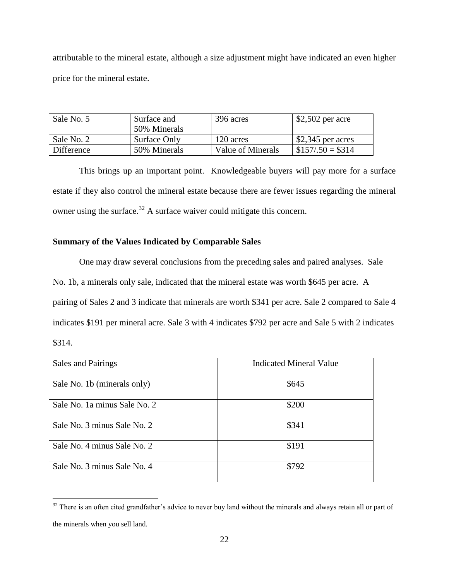attributable to the mineral estate, although a size adjustment might have indicated an even higher price for the mineral estate.

| Sale No. 5 | Surface and<br>50% Minerals | 396 acres         | $$2,502$ per acre  |  |  |
|------------|-----------------------------|-------------------|--------------------|--|--|
| Sale No. 2 | Surface Only                | 120 acres         | $$2,345$ per acres |  |  |
| Difference | 50% Minerals                | Value of Minerals | $$157/.50 = $314$  |  |  |

This brings up an important point. Knowledgeable buyers will pay more for a surface estate if they also control the mineral estate because there are fewer issues regarding the mineral owner using the surface.<sup>32</sup> A surface waiver could mitigate this concern.

# **Summary of the Values Indicated by Comparable Sales**

 $\overline{a}$ 

One may draw several conclusions from the preceding sales and paired analyses. Sale No. 1b, a minerals only sale, indicated that the mineral estate was worth \$645 per acre. A pairing of Sales 2 and 3 indicate that minerals are worth \$341 per acre. Sale 2 compared to Sale 4 indicates \$191 per mineral acre. Sale 3 with 4 indicates \$792 per acre and Sale 5 with 2 indicates \$314.

| Sales and Pairings           | <b>Indicated Mineral Value</b> |
|------------------------------|--------------------------------|
| Sale No. 1b (minerals only)  | \$645                          |
| Sale No. 1a minus Sale No. 2 | \$200                          |
| Sale No. 3 minus Sale No. 2  | \$341                          |
| Sale No. 4 minus Sale No. 2  | \$191                          |
| Sale No. 3 minus Sale No. 4  | \$792                          |

 $32$  There is an often cited grandfather's advice to never buy land without the minerals and always retain all or part of the minerals when you sell land.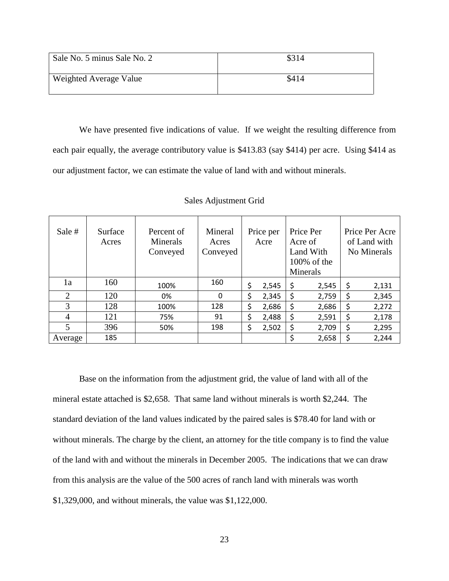| Sale No. 5 minus Sale No. 2 | \$314 |
|-----------------------------|-------|
| Weighted Average Value      | \$414 |

We have presented five indications of value. If we weight the resulting difference from each pair equally, the average contributory value is \$413.83 (say \$414) per acre. Using \$414 as our adjustment factor, we can estimate the value of land with and without minerals.

| Sale #         | Surface<br>Acres | Percent of<br>Minerals<br>Conveyed | Mineral<br>Acres<br>Conveyed | Price per<br>Acre | Price Per<br>Acre of<br>Land With<br>$100\%$ of the<br>Minerals | Price Per Acre<br>of Land with<br>No Minerals |
|----------------|------------------|------------------------------------|------------------------------|-------------------|-----------------------------------------------------------------|-----------------------------------------------|
| 1a             | 160              | 100%                               | 160                          | \$<br>2,545       | \$<br>2,545                                                     | \$<br>2,131                                   |
| 2              | 120              | 0%                                 | 0                            | \$<br>2,345       | \$<br>2,759                                                     | \$<br>2,345                                   |
| 3              | 128              | 100%                               | 128                          | \$<br>2,686       | \$<br>2,686                                                     | \$<br>2,272                                   |
| $\overline{4}$ | 121              | 75%                                | 91                           | \$<br>2,488       | \$<br>2,591                                                     | \$<br>2,178                                   |
| $\mathfrak{S}$ | 396              | 50%                                | 198                          | \$<br>2,502       | \$<br>2,709                                                     | \$<br>2,295                                   |
| Average        | 185              |                                    |                              |                   | 2,658                                                           | \$<br>2,244                                   |

Sales Adjustment Grid

Base on the information from the adjustment grid, the value of land with all of the mineral estate attached is \$2,658. That same land without minerals is worth \$2,244. The standard deviation of the land values indicated by the paired sales is \$78.40 for land with or without minerals. The charge by the client, an attorney for the title company is to find the value of the land with and without the minerals in December 2005. The indications that we can draw from this analysis are the value of the 500 acres of ranch land with minerals was worth \$1,329,000, and without minerals, the value was \$1,122,000.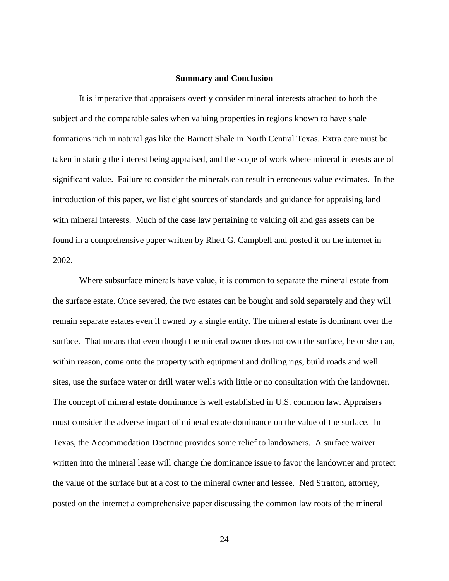#### **Summary and Conclusion**

It is imperative that appraisers overtly consider mineral interests attached to both the subject and the comparable sales when valuing properties in regions known to have shale formations rich in natural gas like the Barnett Shale in North Central Texas. Extra care must be taken in stating the interest being appraised, and the scope of work where mineral interests are of significant value. Failure to consider the minerals can result in erroneous value estimates. In the introduction of this paper, we list eight sources of standards and guidance for appraising land with mineral interests. Much of the case law pertaining to valuing oil and gas assets can be found in a comprehensive paper written by Rhett G. Campbell and posted it on the internet in 2002.

Where subsurface minerals have value, it is common to separate the mineral estate from the surface estate. Once severed, the two estates can be bought and sold separately and they will remain separate estates even if owned by a single entity. The mineral estate is dominant over the surface. That means that even though the mineral owner does not own the surface, he or she can, within reason, come onto the property with equipment and drilling rigs, build roads and well sites, use the surface water or drill water wells with little or no consultation with the landowner. The concept of mineral estate dominance is well established in U.S. common law. Appraisers must consider the adverse impact of mineral estate dominance on the value of the surface. In Texas, the Accommodation Doctrine provides some relief to landowners. A surface waiver written into the mineral lease will change the dominance issue to favor the landowner and protect the value of the surface but at a cost to the mineral owner and lessee. Ned Stratton, attorney, posted on the internet a comprehensive paper discussing the common law roots of the mineral

24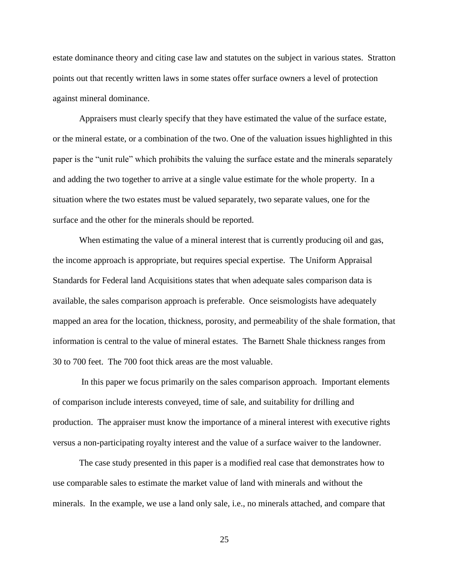estate dominance theory and citing case law and statutes on the subject in various states. Stratton points out that recently written laws in some states offer surface owners a level of protection against mineral dominance.

Appraisers must clearly specify that they have estimated the value of the surface estate, or the mineral estate, or a combination of the two. One of the valuation issues highlighted in this paper is the "unit rule" which prohibits the valuing the surface estate and the minerals separately and adding the two together to arrive at a single value estimate for the whole property. In a situation where the two estates must be valued separately, two separate values, one for the surface and the other for the minerals should be reported.

When estimating the value of a mineral interest that is currently producing oil and gas, the income approach is appropriate, but requires special expertise. The Uniform Appraisal Standards for Federal land Acquisitions states that when adequate sales comparison data is available, the sales comparison approach is preferable. Once seismologists have adequately mapped an area for the location, thickness, porosity, and permeability of the shale formation, that information is central to the value of mineral estates. The Barnett Shale thickness ranges from 30 to 700 feet. The 700 foot thick areas are the most valuable.

In this paper we focus primarily on the sales comparison approach. Important elements of comparison include interests conveyed, time of sale, and suitability for drilling and production. The appraiser must know the importance of a mineral interest with executive rights versus a non-participating royalty interest and the value of a surface waiver to the landowner.

The case study presented in this paper is a modified real case that demonstrates how to use comparable sales to estimate the market value of land with minerals and without the minerals. In the example, we use a land only sale, i.e., no minerals attached, and compare that

25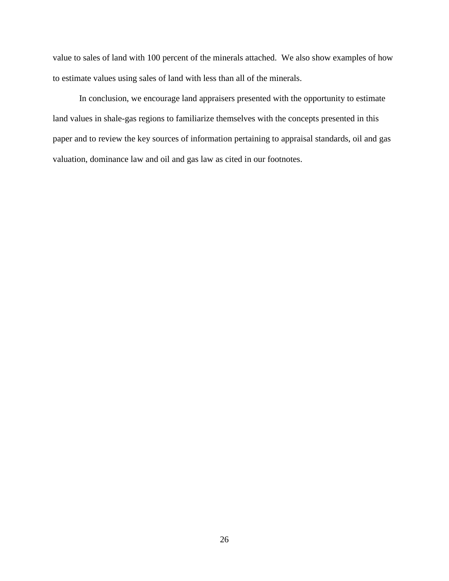value to sales of land with 100 percent of the minerals attached. We also show examples of how to estimate values using sales of land with less than all of the minerals.

In conclusion, we encourage land appraisers presented with the opportunity to estimate land values in shale-gas regions to familiarize themselves with the concepts presented in this paper and to review the key sources of information pertaining to appraisal standards, oil and gas valuation, dominance law and oil and gas law as cited in our footnotes.